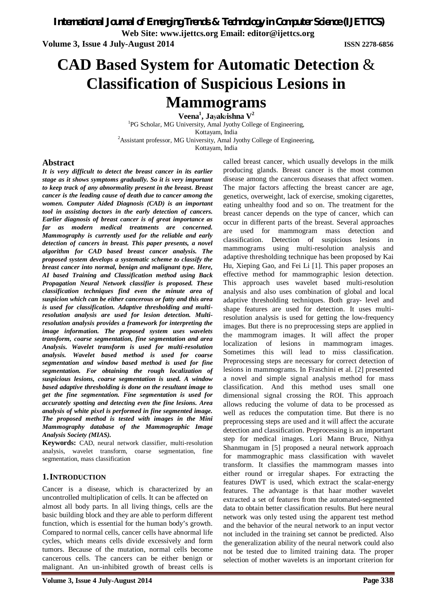**Volume 3, Issue 4 July-August 2014 ISSN 2278-6856**

# **CAD Based System for Automatic Detection** & **Classification of Suspicious Lesions in Mammograms**

**Veena<sup>1</sup> , Ja**y**ak**r**ishna V<sup>2</sup>**

<sup>1</sup>PG Scholar, MG University, Amal Jyothy College of Engineering, Kottayam, India <sup>2</sup> Assistant professor, MG University, Amal Jyothy College of Engineering,

Kottayam, India

#### **Abstract**

*It is very difficult to detect the breast cancer in its earlier stage as it shows symptoms gradually. So it is very important to keep track of any abnormality present in the breast. Breast cancer is the leading cause of death due to cancer among the women. Computer Aided Diagnosis (CAD) is an important tool in assisting doctors in the early detection of cancers. Earlier diagnosis of breast cancer is of great importance as far as modern medical treatments are concerned. Mammography is currently used for the reliable and early detection of cancers in breast. This paper presents, a novel algorithm for CAD based breast cancer analysis. The proposed system develops a systematic scheme to classify the breast cancer into normal, benign and malignant type. Here, AI based Training and Classification method using Back Propagation Neural Network classifier is proposed. These classification techniques find even the minute area of suspicion which can be either cancerous or fatty and this area is used for classification. Adaptive thresholding and multiresolution analysis are used for lesion detection. Multiresolution analysis provides a framework for interpreting the image information. The proposed system uses wavelets transform, coarse segmentation, fine segmentation and area Analysis. Wavelet transform is used for multi-resolution analysis. Wavelet based method is used for coarse segmentation and window based method is used for fine segmentation. For obtaining the rough localization of suspicious lesions, coarse segmentation is used. A window based adaptive thresholding is done on the resultant image to get the fine segmentation. Fine segmentation is used for accurately spotting and detecting even the fine lesions. Area analysis of white pixel is performed in fine segmented image. The proposed method is tested with images in the Mini Mammography database of the Mammographic Image Analysis Society (MIAS).*

**Keywords:** CAD, neural network classifier, multi-resolution analysis, wavelet transform, coarse segmentation, fine segmentation, mass classification

### **1.INTRODUCTION**

Cancer is a disease, which is characterized by an uncontrolled multiplication of cells. It can be affected on almost all body parts. In all living things, cells are the basic building block and they are able to perform different function, which is essential for the human body's growth. Compared to normal cells, cancer cells have abnormal life cycles, which means cells divide excessively and form tumors. Because of the mutation, normal cells become cancerous cells. The cancers can be either benign or malignant. An un-inhibited growth of breast cells is called breast cancer, which usually develops in the milk producing glands. Breast cancer is the most common disease among the cancerous diseases that affect women. The major factors affecting the breast cancer are age, genetics, overweight, lack of exercise, smoking cigarettes, eating unhealthy food and so on. The treatment for the breast cancer depends on the type of cancer, which can occur in different parts of the breast. Several approaches are used for mammogram mass detection and classification. Detection of suspicious lesions in mammograms using multi-resolution analysis and adaptive thresholding technique has been proposed by Kai Hu, Xieping Gao, and Fei Li [1]. This paper proposes an effective method for mammographic lesion detection. This approach uses wavelet based multi-resolution analysis and also uses combination of global and local adaptive thresholding techniques. Both gray- level and shape features are used for detection. It uses multiresolution analysis is used for getting the low-frequency images. But there is no preprocessing steps are applied in the mammogram images. It will affect the proper localization of lesions in mammogram images. Sometimes this will lead to miss classification. Preprocessing steps are necessary for correct detection of lesions in mammograms. In Fraschini et al. [2] presented a novel and simple signal analysis method for mass classification. And this method uses small one dimensional signal crossing the ROI. This approach allows reducing the volume of data to be processed as well as reduces the computation time. But there is no preprocessing steps are used and it will affect the accurate detection and classification. Preprocessing is an important step for medical images. Lori Mann Bruce, Nithya Shanmugam in [5] proposed a neural network approach for mammographic mass classification with wavelet transform. It classifies the mammogram masses into either round or irregular shapes. For extracting the features DWT is used, which extract the scalar-energy features. The advantage is that haar mother wavelet extracted a set of features from the automated-segmented data to obtain better classification results. But here neural network was only tested using the apparent test method and the behavior of the neural network to an input vector not included in the training set cannot be predicted. Also the generalization ability of the neural network could also not be tested due to limited training data. The proper selection of mother wavelets is an important criterion for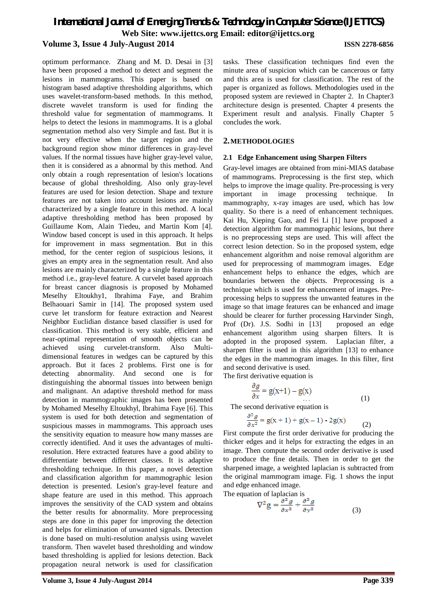optimum performance. Zhang and M. D. Desai in [3] have been proposed a method to detect and segment the lesions in mammograms. This paper is based on histogram based adaptive thresholding algorithms, which uses wavelet-transform-based methods. In this method, discrete wavelet transform is used for finding the threshold value for segmentation of mammograms. It helps to detect the lesions in mammograms. It is a global segmentation method also very Simple and fast. But it is not very effective when the target region and the background region show minor differences in gray-level values. If the normal tissues have higher gray-level value, then it is considered as a abnormal by this method. And only obtain a rough representation of lesion's locations because of global thresholding. Also only gray-level features are used for lesion detection. Shape and texture features are not taken into account lesions are mainly characterized by a single feature in this method. A local adaptive thresholding method has been proposed by Guillaume Kom, Alain Tiedeu, and Martin Kom [4]. Window based concept is used in this approach. It helps for improvement in mass segmentation. But in this method, for the center region of suspicious lesions, it gives an empty area in the segmentation result. And also lesions are mainly characterized by a single feature in this method i.e., gray-level feature. A curvelet based approach for breast cancer diagnosis is proposed by Mohamed Meselhy Eltoukhy1, Ibrahima Faye, and Brahim Belhaouari Samir in [14]. The proposed system used curve let transform for feature extraction and Nearest Neighbor Euclidian distance based classifier is used for classification. This method is very stable, efficient and near-optimal representation of smooth objects can be achieved using curvelet-transform. Also Multidimensional features in wedges can be captured by this approach. But it faces 2 problems. First one is for detecting abnormality. And second one is for distinguishing the abnormal tissues into between benign and malignant. An adaptive threshold method for mass detection in mammographic images has been presented by Mohamed Meselhy Eltoukhyl, Ibrahima Faye [6]. This system is used for both detection and segmentation of suspicious masses in mammograms. This approach uses the sensitivity equation to measure how many masses are correctly identified. And it uses the advantages of multiresolution. Here extracted features have a good ability to differentiate between different classes. It is adaptive thresholding technique. In this paper, a novel detection and classification algorithm for mammographic lesion detection is presented. Lesion's gray-level feature and shape feature are used in this method. This approach improves the sensitivity of the CAD system and obtains the better results for abnormality. More preprocessing steps are done in this paper for improving the detection and helps for elimination of unwanted signals. Detection is done based on multi-resolution analysis using wavelet transform. Then wavelet based thresholding and window based thresholding is applied for lesions detection. Back propagation neural network is used for classification

tasks. These classification techniques find even the minute area of suspicion which can be cancerous or fatty and this area is used for classification. The rest of the paper is organized as follows. Methodologies used in the proposed system are reviewed in Chapter 2. In Chapter3 architecture design is presented. Chapter 4 presents the Experiment result and analysis. Finally Chapter 5 concludes the work.

#### **2.METHODOLOGIES**

#### **2.1 Edge Enhancement using Sharpen Filters**

Gray-level images are obtained from mini-MIAS database of mammograms. Preprocessing is the first step, which helps to improve the image quality. Pre-processing is very important in image processing technique. In mammography, x-ray images are used, which has low quality. So there is a need of enhancement techniques. Kai Hu, Xieping Gao, and Fei Li [1] have proposed a detection algorithm for mammographic lesions, but there is no preprocessing steps are used. This will affect the correct lesion detection. So in the proposed system, edge enhancement algorithm and noise removal algorithm are used for preprocessing of mammogram images. Edge enhancement helps to enhance the edges, which are boundaries between the objects. Preprocessing is a technique which is used for enhancement of images. Preprocessing helps to suppress the unwanted features in the image so that image features can be enhanced and image should be clearer for further processing Harvinder Singh, Prof (Dr). J.S. Sodhi in [13] proposed an edge enhancement algorithm using sharpen filters. It is adopted in the proposed system. Laplacian filter, a sharpen filter is used in this algorithm [13] to enhance the edges in the mammogram images. In this filter, first and second derivative is used.

The first derivative equation is

$$
\frac{\partial g}{\partial x} = g(x+1) - g(x) \tag{1}
$$

The second derivative equation is

$$
\frac{\partial^2 g}{\partial x^2} = g(x+1) + g(x-1) - 2g(x) \tag{2}
$$

First compute the first order derivative for producing the thicker edges and it helps for extracting the edges in an image. Then compute the second order derivative is used to produce the fine details. Then in order to get the sharpened image, a weighted laplacian is subtracted from the original mammogram image. Fig. 1 shows the input and edge enhanced image.

The equation of laplacian is  
\n
$$
\nabla^2 g = \frac{\partial^2 g}{\partial x^2} + \frac{\partial^2 g}{\partial y^2}
$$
\n(3)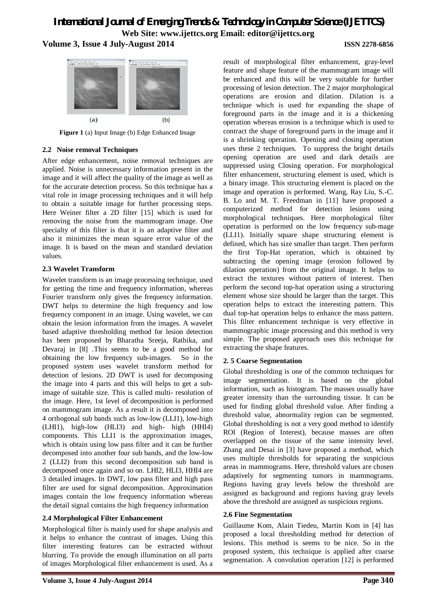

**Figure 1** (a) Input Image (b) Edge Enhanced Image

#### **2.2 Noise removal Techniques**

After edge enhancement, noise removal techniques are applied. Noise is unnecessary information present in the image and it will affect the quality of the image as well as for the accurate detection process. So this technique has a vital role in image processing techniques and it will help to obtain a suitable image for further processing steps. Here Weiner filter a 2D filter [15] which is used for removing the noise from the mammogram image. One specialty of this filter is that it is an adaptive filter and also it minimizes the mean square error value of the image. It is based on the mean and standard deviation values.

### **2.3 Wavelet Transform**

Wavelet transform is an image processing technique, used for getting the time and frequency information, whereas Fourier transform only gives the frequency information. DWT helps to determine the high frequency and low frequency component in an image. Using wavelet, we can obtain the lesion information from the images. A wavelet based adaptive thresholding method for lesion detection has been proposed by Bharatha Sreeja, Rathika, and Devaraj in [8] .This seems to be a good method for obtaining the low frequency sub-images. So in the proposed system uses wavelet transform method for detection of lesions. 2D DWT is used for decomposing the image into 4 parts and this will helps to get a subimage of suitable size. This is called multi- resolution of the image. Here, 1st level of decomposition is performed on mammogram image. As a result it is decomposed into 4 orthogonal sub bands such as low-low (LLI1), low-high (LHI1), high-low (HLI3) and high- high (HHI4) components. This LLI1 is the approximation images, which is obtain using low pass filter and it can be further decomposed into another four sub bands, and the low-low 2 (LLI2) from this second decomposition sub band is decomposed once again and so on. LHI2, HLI3, HHI4 are 3 detailed images. In DWT, low pass filter and high pass filter are used for signal decomposition. Approximation images contain the low frequency information whereas the detail signal contains the high frequency information

### **2.4 Morphological Filter Enhancement**

Morphological filter is mainly used for shape analysis and it helps to enhance the contrast of images. Using this filter interesting features can be extracted without blurring. To provide the enough illumination on all parts of images Morphological filter enhancement is used. As a

result of morphological filter enhancement, gray-level feature and shape feature of the mammogram image will be enhanced and this will be very suitable for further processing of lesion detection. The 2 major morphological operations are erosion and dilation. Dilation is a technique which is used for expanding the shape of foreground parts in the image and it is a thickening operation whereas erosion is a technique which is used to contract the shape of foreground parts in the image and it is a shrinking operation. Opening and closing operation uses these 2 techniques. To suppress the bright details opening operation are used and dark details are suppressed using Closing operation. For morphological filter enhancement, structuring element is used, which is a binary image. This structuring element is placed on the image and operation is performed. Wang, Ray Liu, S.-C. B. Lo and M. T. Freedman in [11] have proposed a computerized method for detection lesions using morphological techniques. Here morphological filter operation is performed on the low frequency sub-mage (LLI1). Initially square shape structuring element is defined, which has size smaller than target. Then perform the first Top-Hat operation, which is obtained by subtracting the opening image (erosion followed by dilation operation) from the original image. It helps to extract the textures without pattern of interest. Then perform the second top-hat operation using a structuring element whose size should be larger than the target. This operation helps to extract the interesting pattern. This dual top-hat operation helps to enhance the mass pattern. This filter enhancement technique is very effective in mammographic image processing and this method is very simple. The proposed approach uses this technique for extracting the shape features.

### **2. 5 Coarse Segmentation**

Global thresholding is one of the common techniques for image segmentation. It is based on the global information, such as histogram. The masses usually have greater intensity than the surrounding tissue. It can be used for finding global threshold value. After finding a threshold value, abnormality region can be segmented. Global thresholding is not a very good method to identify ROI (Region of Interest), because masses are often overlapped on the tissue of the same intensity level. Zhang and Desai in [3] have proposed a method, which uses multiple thresholds for separating the suspicious areas in mammograms. Here, threshold values are chosen adaptively for segmenting tumors in mammograms. Regions having gray levels below the threshold are assigned as background and regions having gray levels above the threshold are assigned as suspicious regions.

#### **2.6 Fine Segmentation**

Guillaume Kom, Alain Tiedeu, Martin Kom in [4] has proposed a local thresholding method for detection of lesions. This method is seems to be nice. So in the proposed system, this technique is applied after coarse segmentation. A convolution operation [12] is performed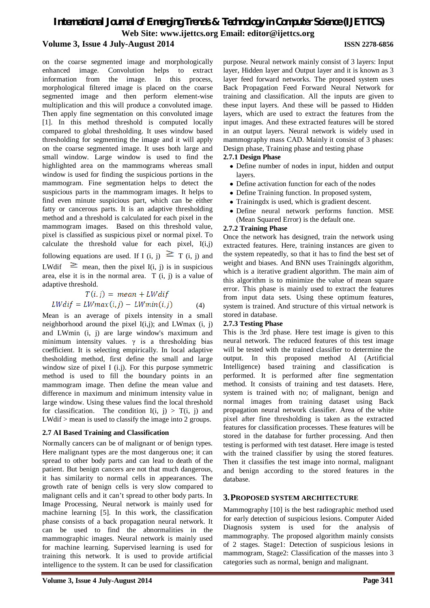on the coarse segmented image and morphologically enhanced image. Convolution helps to extract information from the image. In this process, morphological filtered image is placed on the coarse segmented image and then perform element-wise multiplication and this will produce a convoluted image. Then apply fine segmentation on this convoluted image [1]. In this method threshold is computed locally compared to global thresholding. It uses window based thresholding for segmenting the image and it will apply on the coarse segmented image. It uses both large and small window. Large window is used to find the highlighted area on the mammograms whereas small window is used for finding the suspicious portions in the mammogram. Fine segmentation helps to detect the suspicious parts in the mammogram images. It helps to find even minute suspicious part, which can be either fatty or cancerous parts. It is an adaptive thresholding method and a threshold is calculated for each pixel in the mammogram images. Based on this threshold value, pixel is classified as suspicious pixel or normal pixel. To calculate the threshold value for each pixel, I(i,j) following equations are used. If I (i, j)  $\geq T$  (i, j) and LWdif  $\geq$  mean, then the pixel I(i, j) is in suspicious area, else it is in the normal area. T (i, j) is a value of adaptive threshold.

$$
T(i,j) = mean + LWdif
$$
  

$$
LWdif = LWmax(i,j) - LWmin(i,j)
$$
 (4)

Mean is an average of pixels intensity in a small neighborhood around the pixel  $I(i,j)$ ; and LWmax  $(i, j)$ and LWmin (i, j) are large window's maximum and minimum intensity values.  $\gamma$  is a thresholding bias coefficient. It is selecting empirically. In local adaptive thesholding method, first define the small and large window size of pixel I (i.j). For this purpose symmetric method is used to fill the boundary points in an mammogram image. Then define the mean value and difference in maximum and minimum intensity value in large window. Using these values find the local threshold for classification. The condition  $I(i, j) > T(i, j)$  and LWdif > mean is used to classify the image into 2 groups.

### **2.7 AI Based Training and Classification**

Normally cancers can be of malignant or of benign types. Here malignant types are the most dangerous one; it can spread to other body parts and can lead to death of the patient. But benign cancers are not that much dangerous, it has similarity to normal cells in appearances. The growth rate of benign cells is very slow compared to malignant cells and it can't spread to other body parts. In Image Processing, Neural network is mainly used for machine learning [5]. In this work, the classification phase consists of a back propagation neural network. It can be used to find the abnormalities in the mammographic images. Neural network is mainly used for machine learning. Supervised learning is used for training this network. It is used to provide artificial intelligence to the system. It can be used for classification

purpose. Neural network mainly consist of 3 layers: Input layer, Hidden layer and Output layer and it is known as 3 layer feed forward networks. The proposed system uses Back Propagation Feed Forward Neural Network for training and classification. All the inputs are given to these input layers. And these will be passed to Hidden layers, which are used to extract the features from the input images. And these extracted features will be stored in an output layers. Neural network is widely used in mammography mass CAD. Mainly it consist of 3 phases: Design phase, Training phase and testing phase

#### **2.7.1 Design Phase**

- Define number of nodes in input, hidden and output layers.
- Define activation function for each of the nodes
- Define Training function. In proposed system,
- Trainingdx is used, which is gradient descent.
- Define neural network performs function. MSE (Mean Squared Error) is the default one.

#### **2.7.2 Training Phase**

Once the network has designed, train the network using extracted features. Here, training instances are given to the system repeatedly, so that it has to find the best set of weight and biases. And BNN uses Trainingdx algorithm, which is a iterative gradient algorithm. The main aim of this algorithm is to minimize the value of mean square error. This phase is mainly used to extract the features from input data sets. Using these optimum features, system is trained. And structure of this virtual network is stored in database.

### **2.7.3 Testing Phase**

This is the 3rd phase. Here test image is given to this neural network. The reduced features of this test image will be tested with the trained classifier to determine the output. In this proposed method AI (Artificial Intelligence) based training and classification is performed. It is performed after fine segmentation method. It consists of training and test datasets. Here, system is trained with no; of malignant, benign and normal images from training dataset using Back propagation neural network classifier. Area of the white pixel after fine thresholding is taken as the extracted features for classification processes. These features will be stored in the database for further processing. And then testing is performed with test dataset. Here image is tested with the trained classifier by using the stored features. Then it classifies the test image into normal, malignant and benign according to the stored features in the database.

### **3.PROPOSED SYSTEM ARCHITECTURE**

Mammography [10] is the best radiographic method used for early detection of suspicious lesions. Computer Aided Diagnosis system is used for the analysis of mammography. The proposed algorithm mainly consists of 2 stages. Stage1: Detection of suspicious lesions in mammogram, Stage2: Classification of the masses into 3 categories such as normal, benign and malignant.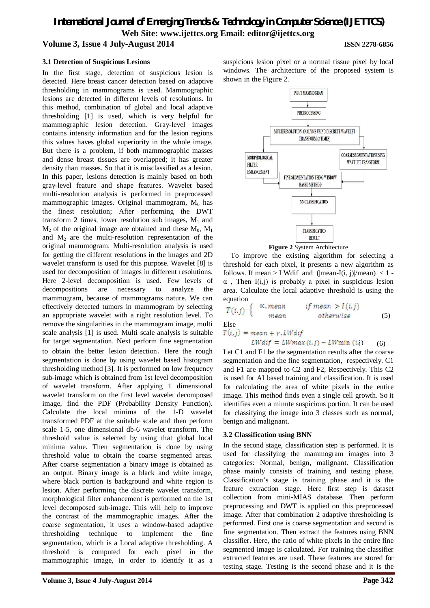#### **3.1 Detection of Suspicious Lesions**

In the first stage, detection of suspicious lesion is detected. Here breast cancer detection based on adaptive thresholding in mammograms is used. Mammographic lesions are detected in different levels of resolutions. In this method, combination of global and local adaptive thresholding [1] is used, which is very helpful for mammographic lesion detection. Gray-level images contains intensity information and for the lesion regions this values haves global superiority in the whole image. But there is a problem, if both mammographic masses and dense breast tissues are overlapped; it has greater density than masses. So that it is misclassified as a lesion. In this paper, lesions detection is mainly based on both gray-level feature and shape features. Wavelet based multi-resolution analysis is performed in preprocessed mammographic images. Original mammogram,  $M_0$  has the finest resolution; After performing the DWT transform 2 times, lower resolution sub images,  $M_1$  and  $M_2$  of the original image are obtained and these  $M_0$ ,  $M_1$ and  $M_2$  are the multi-resolution representation of the original mammogram. Multi-resolution analysis is used for getting the different resolutions in the images and 2D wavelet transform is used for this purpose. Wavelet [8] is used for decomposition of images in different resolutions. Here 2-level decomposition is used. Few levels of decompositions are necessary to analyze the mammogram, because of mammograms nature. We can effectively detected tumors in mammogram by selecting an appropriate wavelet with a right resolution level. To remove the singularities in the mammogram image, multi scale analysis [1] is used. Multi scale analysis is suitable for target segmentation. Next perform fine segmentation to obtain the better lesion detection. Here the rough segmentation is done by using wavelet based histogram thresholding method [3]. It is performed on low frequency sub-image which is obtained from 1st level decomposition of wavelet transform. After applying 1 dimensional wavelet transform on the first level wavelet decomposed image, find the PDF (Probability Density Function). Calculate the local minima of the 1-D wavelet transformed PDF at the suitable scale and then perform scale 1-5, one dimensional db-6 wavelet transform. The threshold value is selected by using that global local minima value. Then segmentation is done by using threshold value to obtain the coarse segmented areas. After coarse segmentation a binary image is obtained as an output. Binary image is a black and white image, where black portion is background and white region is lesion. After performing the discrete wavelet transform, morphological filter enhancement is performed on the 1st level decomposed sub-image. This will help to improve the contrast of the mammographic images. After the coarse segmentation, it uses a window-based adaptive thresholding technique to implement the fine segmentation, which is a Local adaptive thresholding. A threshold is computed for each pixel in the mammographic image, in order to identify it as a

suspicious lesion pixel or a normal tissue pixel by local windows. The architecture of the proposed system is shown in the Figure 2.





To improve the existing algorithm for selecting a threshold for each pixel, it presents a new algorithm as follows. If mean > LWdif and (|mean-I(i, j)|/mean) < 1 - $\alpha$ , Then I(i,j) is probably a pixel in suspicious lesion area. Calculate the local adaptive threshold is using the equation

$$
T(i,j) = \begin{cases} \alpha, \text{mean} & \text{if mean} > I(i,j) \\ \text{mean} & \text{otherwise} \end{cases} \tag{5}
$$

Else

 $T(i,j) = mean + y$ . LWdif

$$
LWdiff = LWmax(i,j) - LWmin(i,j) \qquad (6)
$$

Let C1 and F1 be the segmentation results after the coarse segmentation and the fine segmentation, respectively. C1 and F1 are mapped to C2 and F2, Respectively. This C2 is used for AI based training and classification. It is used for calculating the area of white pixels in the entire image. This method finds even a single cell growth. So it identifies even a minute suspicious portion. It can be used for classifying the image into 3 classes such as normal, benign and malignant.

### **3.2 Classification using BNN**

In the second stage, classification step is performed. It is used for classifying the mammogram images into 3 categories: Normal, benign, malignant. Classification phase mainly consists of training and testing phase. Classification's stage is training phase and it is the feature extraction stage. Here first step is dataset collection from mini-MIAS database. Then perform preprocessing and DWT is applied on this preprocessed image. After that combination 2 adaptive thresholding is performed. First one is coarse segmentation and second is fine segmentation. Then extract the features using BNN classifier. Here, the ratio of white pixels in the entire fine segmented image is calculated. For training the classifier extracted features are used. These features are stored for testing stage. Testing is the second phase and it is the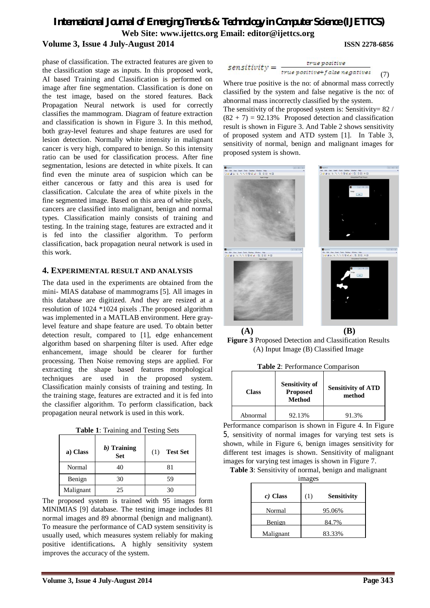phase of classification. The extracted features are given to the classification stage as inputs. In this proposed work, AI based Training and Classification is performed on image after fine segmentation. Classification is done on the test image, based on the stored features. Back Propagation Neural network is used for correctly classifies the mammogram. Diagram of feature extraction and classification is shown in Figure 3. In this method, both gray-level features and shape features are used for lesion detection. Normally white intensity in malignant cancer is very high, compared to benign. So this intensity ratio can be used for classification process. After fine segmentation, lesions are detected in white pixels. It can find even the minute area of suspicion which can be either cancerous or fatty and this area is used for classification. Calculate the area of white pixels in the fine segmented image. Based on this area of white pixels, cancers are classified into malignant, benign and normal types. Classification mainly consists of training and testing. In the training stage, features are extracted and it is fed into the classifier algorithm. To perform classification, back propagation neural network is used in this work.

#### **4. EXPERIMENTAL RESULT AND ANALYSIS**

The data used in the experiments are obtained from the mini- MIAS database of mammograms [5]. All images in this database are digitized. And they are resized at a resolution of 1024 \*1024 pixels .The proposed algorithm was implemented in a MATLAB environment. Here graylevel feature and shape feature are used. To obtain better detection result, compared to [1], edge enhancement algorithm based on sharpening filter is used. After edge enhancement, image should be clearer for further processing. Then Noise removing steps are applied. For extracting the shape based features morphological techniques are used in the proposed system. Classification mainly consists of training and testing. In the training stage, features are extracted and it is fed into the classifier algorithm. To perform classification, back propagation neural network is used in this work.

**Table 1**: T*r*aining and Testing Sets

| a) Class  | $b$ ) Training<br><b>Set</b> | <b>Test Set</b><br>(1) |
|-----------|------------------------------|------------------------|
| Normal    | 40                           | 81                     |
| Benign    | 30                           | 59                     |
| Malignant | 25                           | 30                     |

The proposed system is trained with 95 images form MINIMIAS [9] database. The testing image includes 81 normal images and 89 abnormal (benign and malignant). To measure the performance of CAD system sensitivity is usually used, which measures system reliably for making positive identifications**.** A highly sensitivity system improves the accuracy of the system.

| $sensitivity =$ | true positive                  |     |
|-----------------|--------------------------------|-----|
|                 | true positive+ false negatives | (7) |

Where true positive is the no: of abnormal mass correctly classified by the system and false negative is the no: of abnormal mass incorrectly classified by the system. The sensitivity of the proposed system is: Sensitivity=  $82/$  $(82 + 7) = 92.13\%$  Proposed detection and classification result is shown in Figure 3. And Table 2 shows sensitivity of proposed system and ATD system [1]. In Table 3, sensitivity of normal, benign and malignant images for proposed system is shown.



**Figure 3** Proposed Detection and Classification Results (A) Input Image (B) Classified Image

|  | <b>Table 2: Performance Comparison</b> |  |
|--|----------------------------------------|--|
|  |                                        |  |

| <b>Class</b> | <b>Sensitivity of</b><br><b>Proposed</b><br><b>Method</b> | <b>Sensitivity of ATD</b><br>method |
|--------------|-----------------------------------------------------------|-------------------------------------|
| Abnormal     | 92.13%                                                    | 91.3%                               |

Performance comparison is shown in Figure 4. In Figure 5, sensitivity of normal images for varying test sets is shown, while in Figure 6, benign images sensitivity for different test images is shown. Sensitivity of malignant images for varying test images is shown in Figure 7.

**Table 3**: Sensitivity of normal, benign and malignant

images

| $c)$ Class | (1) | <b>Sensitivity</b> |
|------------|-----|--------------------|
| Normal     |     | 95.06%             |
| Benign     |     | 84.7%              |
| Malignant  |     | 83.33%             |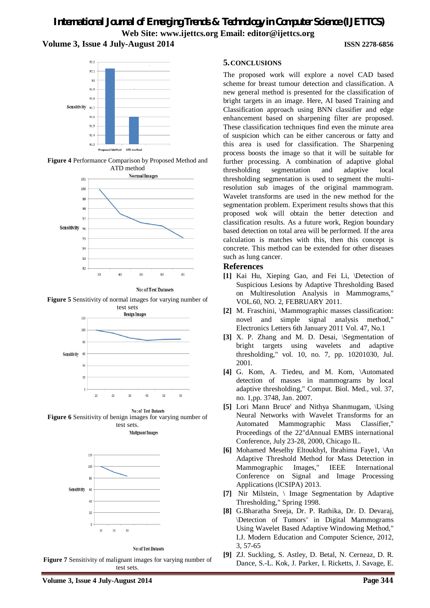





**No: of Test Datasets** 

**Figure 5** Sensitivity of normal images for varying number of



No: of Test Datasets **Figure 6** Sensitivity of benign images for varying number of test sets. **Mailgnant Images** 



**No: of Test Datasets** 

**Figure 7** Sensitivity of malignant images for varying number of test sets.

The proposed work will explore a novel CAD based scheme for breast tumour detection and classification. A new general method is presented for the classification of bright targets in an image. Here, AI based Training and Classification approach using BNN classifier and edge enhancement based on sharpening filter are proposed. These classification techniques find even the minute area of suspicion which can be either cancerous or fatty and this area is used for classification. The Sharpening process boosts the image so that it will be suitable for further processing. A combination of adaptive global thresholding segmentation and adaptive local thresholding segmentation is used to segment the multiresolution sub images of the original mammogram. Wavelet transforms are used in the new method for the segmentation problem. Experiment results shows that this proposed wok will obtain the better detection and classification results. As a future work, Region boundary based detection on total area will be performed. If the area calculation is matches with this, then this concept is concrete. This method can be extended for other diseases such as lung cancer.

### **References**

- **[1]** Kai Hu, Xieping Gao, and Fei Li, \Detection of Suspicious Lesions by Adaptive Thresholding Based on Multiresolution Analysis in Mammograms," VOL.60, NO. 2, FEBRUARY 2011.
- **[2]** M. Fraschini, \Mammographic masses classification: novel and simple signal analysis method," Electronics Letters 6th January 2011 Vol. 47, No.1
- [3] X. P. Zhang and M. D. Desai, \Segmentation of bright targets using wavelets and adaptive thresholding," vol. 10, no. 7, pp. 10201030, Jul. 2001.
- **[4]** G. Kom, A. Tiedeu, and M. Kom, \Automated detection of masses in mammograms by local adaptive thresholding," Comput. Biol. Med., vol. 37, no. 1,pp. 3748, Jan. 2007.
- **[5]** Lori Mann Bruce' and Nithya Shanmugam, \Using Neural Networks with Wavelet Transforms for an Automated Mammographic Mass Classifier," Proceedings of the 22"dAnnual EMBS international Conference, July 23-28, 2000, Chicago IL.
- **[6]** Mohamed Meselhy Eltoukhyl, Ibrahima Faye1, \An Adaptive Threshold Method for Mass Detection in Mammographic Images," IEEE International Conference on Signal and Image Processing Applications (lCSIPA) 2013.
- **[7]** Nir Milstein, \ Image Segmentation by Adaptive Thresholding," Spring 1998.
- **[8]** G.Bharatha Sreeja, Dr. P. Rathika, Dr. D. Devaraj, \Detection of Tumors' in Digital Mammograms Using Wavelet Based Adaptive Windowing Method," I.J. Modern Education and Computer Science, 2012, 3, 57-65
- **[9]** ZJ. Suckling, S. Astley, D. Betal, N. Cerneaz, D. R. Dance, S.-L. Kok, J. Parker, I. Ricketts, J. Savage, E.